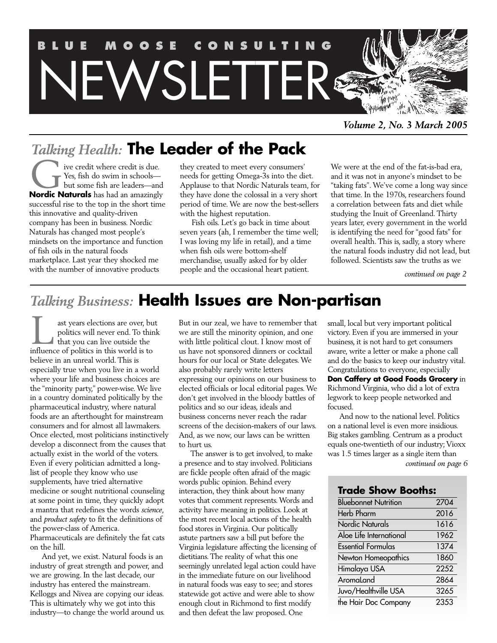

*Volume 2, No. 3 March 2005*

# *Talking Health:* **The Leader of the Pack**

ive credit where credit is due. Yes, fish do swim in schools but some fish are leaders—and **Nordic Naturals** has had an amazingly<br> **Nordic Naturals** has had an amazingly successful rise to the top in the short time this innovative and quality-driven company has been in business. Nordic Naturals has changed most people's mindsets on the importance and function of fish oils in the natural foods marketplace. Last year they shocked me with the number of innovative products

they created to meet every consumers' needs for getting Omega-3s into the diet. Applause to that Nordic Naturals team, for they have done the colossal in a very short period of time. We are now the best-sellers with the highest reputation.

Fish oils. Let's go back in time about seven years (ah, I remember the time well; I was loving my life in retail), and a time when fish oils were bottom-shelf merchandise, usually asked for by older people and the occasional heart patient.

We were at the end of the fat-is-bad era, and it was not in anyone's mindset to be "taking fats". We've come a long way since that time. In the 1970s, researchers found a correlation between fats and diet while studying the Inuit of Greenland. Thirty years later, every government in the world is identifying the need for "good fats" for overall health. This is, sadly, a story where the natural foods industry did not lead, but followed. Scientists saw the truths as we

*continued on page 2*

# *Talking Business:* **Health Issues are Non-partisan**

ast years elections are over, but politics will never end. To think that you can live outside the ast years elections are over, by politics will never end. To this that you can live outside the influence of politics in this world is to believe in an unreal world. This is especially true when you live in a world where your life and business choices are the "minority party," power-wise. We live in a country dominated politically by the pharmaceutical industry, where natural foods are an afterthought for mainstream consumers and for almost all lawmakers. Once elected, most politicians instinctively develop a disconnect from the causes that actually exist in the world of the voters. Even if every politician admitted a longlist of people they know who use supplements, have tried alternative medicine or sought nutritional counseling at some point in time, they quickly adopt a mantra that redefines the words *science*, and *product safety* to fit the definitions of the power-class of America. Pharmaceuticals are definitely the fat cats on the hill.

And yet, we exist. Natural foods is an industry of great strength and power, and we are growing. In the last decade, our industry has entered the mainstream. Kelloggs and Nivea are copying our ideas. This is ultimately why we got into this industry—to change the world around us. But in our zeal, we have to remember that we are still the minority opinion, and one with little political clout. I know most of us have not sponsored dinners or cocktail hours for our local or State delegates. We also probably rarely write letters expressing our opinions on our business to elected officials or local editorial pages. We don't get involved in the bloody battles of politics and so our ideas, ideals and business concerns never reach the radar screens of the decision-makers of our laws. And, as we now, our laws can be written to hurt us.

The answer is to get involved, to make a presence and to stay involved. Politicians are fickle people often afraid of the magic words public opinion. Behind every interaction, they think about how many votes that comment represents. Words and activity have meaning in politics. Look at the most recent local actions of the health food stores in Virginia. Our politically astute partners saw a bill put before the Virginia legislature affecting the licensing of dietitians. The reality of what this one seemingly unrelated legal action could have in the immediate future on our livelihood in natural foods was easy to see; and stores statewide got active and were able to show enough clout in Richmond to first modify and then defeat the law proposed. One

small, local but very important political victory. Even if you are immersed in your business, it is not hard to get consumers aware, write a letter or make a phone call and do the basics to keep our industry vital. Congratulations to everyone, especially **Don Caffery at Good Foods Grocery** in Richmond Virginia, who did a lot of extra legwork to keep people networked and focused.

And now to the national level. Politics on a national level is even more insidious. Big stakes gambling. Centrum as a product equals one-twentieth of our industry; Vioxx was 1.5 times larger as a single item than

*continued on page 6*

# **Trade Show Booths:**

| <b>Bluebonnet Nutrition</b> | 2704 |
|-----------------------------|------|
| <b>Herb Pharm</b>           | 2016 |
| <b>Nordic Naturals</b>      | 1616 |
| Aloe Life International     | 1962 |
| <b>Essential Formulas</b>   | 1374 |
| Newton Homeopathics         | 1860 |
| Himalaya USA                | 2252 |
| AromaLand                   | 2864 |
| Juvo/Healthville USA        | 3265 |
| the Hair Doc Company        | 2353 |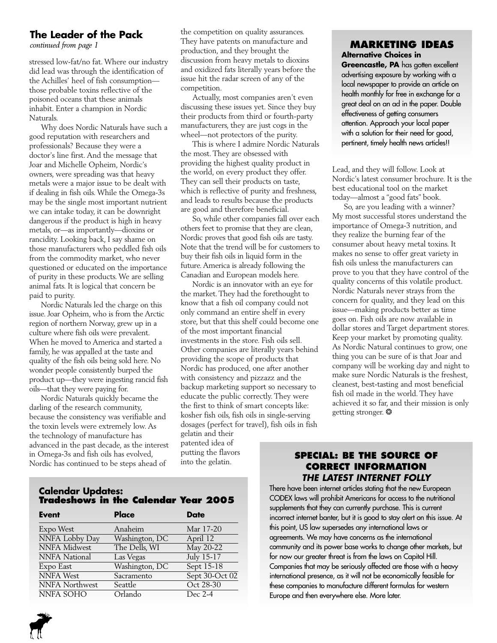# **The Leader of the Pack**

stressed low-fat/no fat.Where our industry did lead was through the identification of the Achilles' heel of fish consumption those probable toxins reflective of the poisoned oceans that these animals inhabit. Enter a champion in Nordic Naturals.

Why does Nordic Naturals have such a good reputation with researchers and professionals? Because they were a doctor's line first. And the message that Joar and Michelle Opheim, Nordic's owners, were spreading was that heavy metals were a major issue to be dealt with if dealing in fish oils.While the Omega-3s may be the single most important nutrient we can intake today, it can be downright dangerous if the product is high in heavy metals, or—as importantly—dioxins or rancidity. Looking back, I say shame on those manufacturers who peddled fish oils from the commodity market, who never questioned or educated on the importance of purity in these products.We are selling animal fats. It is logical that concern be paid to purity.

Nordic Naturals led the charge on this issue. Joar Opheim, who is from the Arctic region of northern Norway, grew up in a culture where fish oils were prevalent. When he moved to America and started a family, he was appalled at the taste and quality of the fish oils being sold here. No wonder people consistently burped the product up—they were ingesting rancid fish oils—that they were paying for.

Nordic Naturals quickly became the darling of the research community, because the consistency was verifiable and the toxin levels were extremely low. As the technology of manufacture has advanced in the past decade, as the interest in Omega-3s and fish oils has evolved, Nordic has continued to be steps ahead of

the competition on quality assurances. They have patents on manufacture and production, and they brought the discussion from heavy metals to dioxins and oxidized fats literally years before the issue hit the radar screen of any of the competition.

Actually, most companies aren't even discussing these issues yet. Since they buy their products from third or fourth-party manufacturers, they are just cogs in the wheel—not protectors of the purity.

This is where I admire Nordic Naturals the most. They are obsessed with providing the highest quality product in the world, on every product they offer. They can sell their products on taste, which is reflective of purity and freshness, and leads to results because the products are good and therefore beneficial.

So, while other companies fall over each others feet to promise that they are clean, Nordic proves that good fish oils are tasty. Note that the trend will be for customers to buy their fish oils in liquid form in the future.America is already following the Canadian and European models here.

Nordic is an innovator with an eye for the market.They had the forethought to know that a fish oil company could not only command an entire shelf in every store, but that this shelf could become one of the most important financial investments in the store. Fish oils sell. Other companies are literally years behind providing the scope of products that Nordic has produced, one after another with consistency and pizzazz and the backup marketing support so necessary to educate the public correctly. They were the first to think of smart concepts like: kosher fish oils, fish oils in single-serving dosages (perfect for travel), fish oils in fish

gelatin and their patented idea of putting the flavors into the gelatin.

# *continued from page 1* **MARKETING IDEAS Alternative Choices in**

**Greencastle, PA** has gotten excellent advertising exposure by working with a local newspaper to provide an article on health monthly for free in exchange for a great deal on an ad in the paper. Double effectiveness of getting consumers attention. Approach your local paper with a solution for their need for good, pertinent, timely health news articles!!

Lead, and they will follow. Look at Nordic's latest consumer brochure. It is the best educational tool on the market today—almost a "good fats" book.

So, are you leading with a winner? My most successful stores understand the importance of Omega-3 nutrition, and they realize the burning fear of the consumer about heavy metal toxins. It makes no sense to offer great variety in fish oils unless the manufacturers can prove to you that they have control of the quality concerns of this volatile product. Nordic Naturals never strays from the concern for quality, and they lead on this issue—making products better as time goes on. Fish oils are now available in dollar stores and Target department stores. Keep your market by promoting quality. As Nordic Natural continues to grow, one thing you can be sure of is that Joar and company will be working day and night to make sure Nordic Naturals is the freshest, cleanest, best-tasting and most beneficial fish oil made in the world. They have achieved it so far, and their mission is only getting stronger. ❂

# **SPECIAL: BE THE SOURCE OF CORRECT INFORMATION THE LATEST INTERNET FOLLY**

There have been internet articles stating that the new European CODEX laws will prohibit Americans for access to the nutritional supplements that they can currently purchase. This is current incorrect internet banter, but it is good to stay alert on this issue. At this point, US law supersedes any international laws or agreements. We may have concerns as the international community and its power base works to change other markets, but for now our greater threat is from the laws on Capitol Hill. Companies that may be seriously affected are those with a heavy international presence, as it will not be economically feasible for these companies to manufacture different formulas for western Europe and then everywhere else. More later.

# **Calendar Updates: Tradeshows in the Calendar Year 2005**

| <b>Event</b>         | Place          | <b>Date</b>    |
|----------------------|----------------|----------------|
| Expo West            | Anaheim        | Mar 17-20      |
| NNFA Lobby Day       | Washington, DC | April 12       |
| <b>NNFA</b> Midwest  | The Dells, WI  | May 20-22      |
| <b>NNFA</b> National | Las Vegas      | July 15-17     |
| Expo East            | Washington, DC | Sept $15-18$   |
| <b>NNFA</b> West     | Sacramento     | Sept 30-Oct 02 |
| NNFA Northwest       | Seattle        | Oct 28-30      |
| NNFA SOHO            | Orlando        | Dec 2-4        |

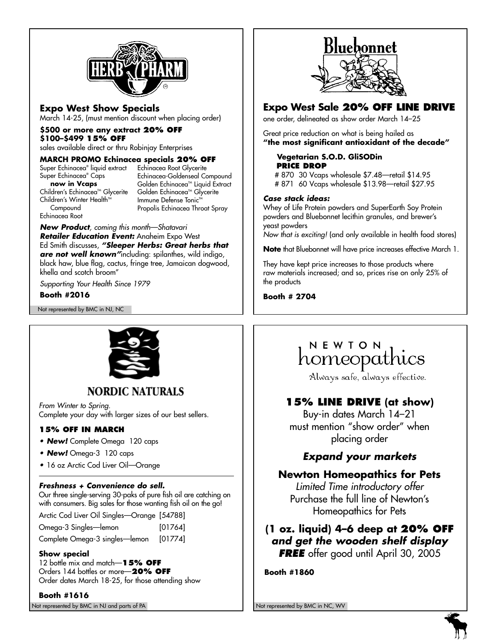

# **Expo West Show Specials**

March 14-25, (must mention discount when placing order)

#### **\$500 or more any extract 20% OFF**

# **\$100–\$499 15% OFF**

sales available direct or thru Robinjay Enterprises

#### **MARCH PROMO Echinacea specials 20% OFF**

Super Echinacea® liquid extract Echinacea Root Glycerite Super Echinacea® Caps **now in Vcaps** Children's Echinacea<sup>™</sup> Glycerite Children's Winter Health<sup>™</sup> **Compound** 

Echinacea-Goldenseal Compound Golden Echinacea<sup>™</sup> Liquid Extract Golden Echinacea<sup>™</sup> Glycerite Immune Defense Tonic™ Propolis Echinacea Throat Spray

**New Product**, coming this month—Shatavari **Retailer Education Event:** Anaheim Expo West Ed Smith discusses, **"Sleeper Herbs: Great herbs that are not well known"**including: spilanthes, wild indigo, black haw, blue flag, cactus, fringe tree, Jamaican dogwood, khella and scotch broom"

Supporting Your Health Since 1979

**Booth #2016**

Echinacea Root

Not represented by BMC in NJ, NC



# **NORDIC NATURALS**

From Winter to Spring. Complete your day with larger sizes of our best sellers.

# **15% OFF IN MARCH**

- **New!** Complete Omega 120 caps
- **New!** Omega-3 120 caps
- 16 oz Arctic Cod Liver Oil—Orange

# **Freshness + Convenience do sell.**

Our three single-serving 30-paks of pure fish oil are catching on with consumers. Big sales for those wanting fish oil on the go!

Arctic Cod Liver Oil Singles—Orange [54788]

Omega-3 Singles—lemon [01764]

Complete Omega-3 singles—lemon [01774]

# **Show special**

12 bottle mix and match—**15% OFF**  Orders 144 bottles or more—**20% OFF** Order dates March 18-25, for those attending show

Not represented by BMC in NJ and parts of PA Not represented by BMC in NC, WV Not represented by BMC in NC, WV **Booth #1616**



# **Expo West Sale 20% OFF LINE DRIVE**

one order, delineated as show order March 14–25

Great price reduction on what is being hailed as **"the most significant antioxidant of the decade"**

#### **Vegetarian S.O.D. GliSODin PRICE DROP**

# 870 30 Vcaps wholesale \$7.48—retail \$14.95 # 871 60 Vcaps wholesale \$13.98—retail \$27.95

#### **Case stack ideas:**

Whey of Life Protein powders and SuperEarth Soy Protein powders and Bluebonnet lecithin granules, and brewer's yeast powders

Now that is exciting! (and only available in health food stores)

**Note** that Bluebonnet will have price increases effective March 1.

They have kept price increases to those products where raw materials increased; and so, prices rise on only 25% of the products

**Booth # 2704**

# NEWTON homeopathics

Always safe, always effective.

# **15% LINE DRIVE (at show)**

Buy-in dates March 14–21 must mention "show order" when placing order

# **Expand your markets**

# **Newton Homeopathics for Pets**

Limited Time introductory offer Purchase the full line of Newton's Homeopathics for Pets

**(1 oz. liquid) 4–6 deep at 20% OFF and get the wooden shelf display FREE** offer good until April 30, 2005

**Booth #1860**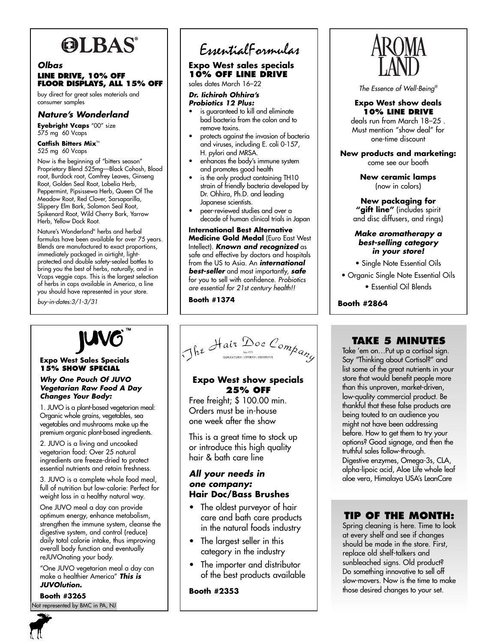# **OLBAS**

# **Olbas LINE DRIVE, 10% OFF FLOOR DISPLAYS, ALL 15% OFF**

buy direct for great sales materials and consumer samples

# **Nature's Wonderland**

**Eyebright Vcaps** "00" size 575 mg 60 Vcaps

Catfish Bitters Mix<sup>™</sup> 525 mg 60 Vcaps

Now is the beginning of "bitters season" Proprietary Blend 525mg—Black Cohosh, Blood root, Burdock root, Comfrey Leaves, Ginseng Root, Golden Seal Root, Lobelia Herb, Peppermint, Pipsissewa Herb, Queen Of The Meadow Root, Red Clover, Sarsaparilla, Slippery Elm Bark, Solomon Seal Root, Spikenard Root, Wild Cherry Bark, Yarrow Herb, Yellow Dock Root.

Nature's Wonderland® herbs and herbal formulas have been available for over 75 years. Blends are manufactured to exact proportions, immediately packaged in airtight, lightprotected and double safety-sealed bottles to bring you the best of herbs, naturally, and in Vcaps veggie caps. This is the largest selection of herbs in caps available in America, a line you should have represented in your store.

buy-in-dates:3/1-3/31

#### **Expo West Sales Specials 15% SHOW SPECIAL**

#### **Why One Pouch Of JUVO Vegetarian Raw Food A Day Changes Your Body:**

1. JUVO is a plant-based vegetarian meal: Organic whole grains, vegetables, sea vegetables and mushrooms make up the premium organic plant-based ingredients.

2. JUVO is a living and uncooked vegetarian food: Over 25 natural ingredients are freeze-dried to protect essential nutrients and retain freshness.

3. JUVO is a complete whole food meal, full of nutrition but low-calorie: Perfect for weight loss in a healthy natural way.

One JUVO meal a day can provide optimum energy, enhance metabolism, strengthen the immune system, cleanse the digestive system, and control (reduce) daily total calorie intake, thus improving overall body function and eventually reJUVOnating your body.

"One JUVO vegetarian meal a day can make a healthier America" **This is JUVOlution.** 

**Booth #3265** Not represented by BMC in PA, NJ

# EssentialFormulas

# **Expo West sales specials 10% OFF LINE DRIVE**

sales dates March 16–22

#### **Dr. Iichiroh Ohhira's Probiotics 12 Plus:**

- is guaranteed to kill and eliminate bad bacteria from the colon and to remove toxins.
- protects against the invasion of bacteria and viruses, including E. coli 0-157, H. pylori and MRSA.
- enhances the body's immune system and promotes good health
- is the only product containing TH10 strain of friendly bacteria developed by Dr. Ohhira, Ph.D. and leading Japanese scientists.
- peer-reviewed studies and over a decade of human clinical trials in Japan

**International Best Alternative Medicine Gold Medal** (Euro East West Intellect). **Known and recognized** as safe and effective by doctors and hospitals from the US to Asia. An **international best-seller** and most importantly, **safe** for you to sell with confidence. Probiotics are essential for 21st century health!!

**Booth #1374**

# The Hair Doc Company

# **Expo West show specials 25% OFF**

Free freight; \$ 100.00 min. Orders must be in-house one week after the show

This is a great time to stock up or introduce this high quality hair & bath care line

# **All your needs in one company: Hair Doc/Bass Brushes**

- The oldest purveyor of hair care and bath care products in the natural foods industry
- The largest seller in this category in the industry
- The importer and distributor of the best products available

# **Booth #2353**



The Essence of Well-Being®

#### **Expo West show deals 10% LINE DRIVE**

deals run from March 18–25 . Must mention "show deal" for one-time discount

**New products and marketing:** come see our booth

> **New ceramic lamps** (now in colors)

# **New packaging for "gift line"** (includes spirit

and disc diffusers, and rings)

#### **Make aromatherapy a best-selling category in your store!**

• Single Note Essential Oils

• Organic Single Note Essential Oils

• Essential Oil Blends

**Booth #2864**

# **TAKE 5 MINUTES**

Take 'em on…Put up a cortisol sign. Say "Thinking about Cortisol?" and list some of the great nutrients in your store that would benefit people more than this unproven, market-driven, low-quality commercial product. Be thankful that these false products are being touted to an audience you might not have been addressing before. How to get them to try your options? Good signage, and then the truthful sales follow-through. Digestive enzymes, Omega-3s, CLA, alpha-lipoic acid, Aloe Life whole leaf aloe vera, Himalaya USA's LeanCare

# **TIP OF THE MONTH:**

Spring cleaning is here. Time to look at every shelf and see if changes should be made in the store. First, replace old shelf-talkers and sunbleached signs. Old product? Do something innovative to sell off slow-movers. Now is the time to make those desired changes to your set.

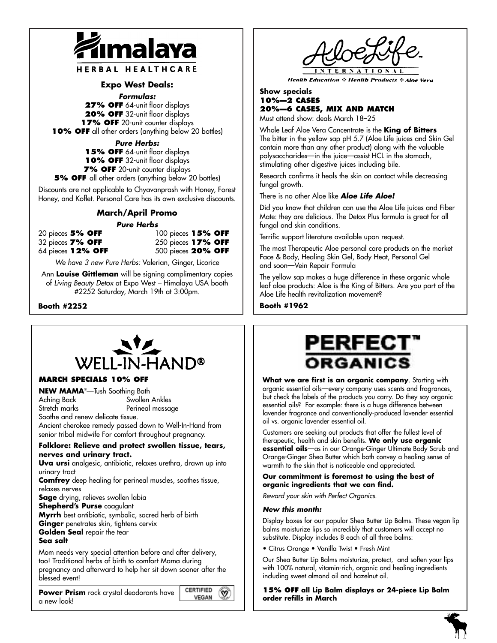

HERBAL HEALTHCARE

### **Expo West Deals:**

**Formulas:**

**27% OFF** 64-unit floor displays **20% OFF** 32-unit floor displays **17% OFF** 20-unit counter displays **10% OFF** all other orders (anything below 20 bottles)

**Pure Herbs:**

**15% OFF** 64-unit floor displays **10% OFF** 32-unit floor displays **7% OFF** 20-unit counter displays

**5% OFF** all other orders (anything below 20 bottles)

Discounts are not applicable to Chyavanprash with Honey, Forest Honey, and Koflet. Personal Care has its own exclusive discounts.

# **March/April Promo**

#### **Pure Herbs**

20 pieces **5% OFF** 100 pieces **15% OFF** 32 pieces **7% OFF** 250 pieces **17% OFF** 64 pieces **12% OFF** 500 pieces **20% OFF**

We have 3 new Pure Herbs: Valerian, Ginger, Licorice

Ann **Louise Gittleman** will be signing complimentary copies of Living Beauty Detox at Expo West – Himalaya USA booth #2252 Saturday, March 19th at 3:00pm.

**Booth #2252**



#### **MARCH SPECIALS 10% OFF**

**NEW MAMA**® —Tush Soothing Bath Aching Back Swollen Ankles Stretch marks Perineal massage

Soothe and renew delicate tissue.

Ancient cherokee remedy passed down to Well-In-Hand from senior tribal midwife For comfort throughout pregnancy.

#### **Folklore: Relieve and protect swollen tissue, tears, nerves and urinary tract.**

**Uva ursi** analgesic, antibiotic, relaxes urethra, drawn up into urinary tract

**Comfrey** deep healing for perineal muscles, soothes tissue, relaxes nerves

**Sage** drying, relieves swollen labia

**Shepherd's Purse** coagulant

**Myrrh** best antibiotic, symbolic, sacred herb of birth **Ginger** penetrates skin, tightens cervix **Golden Seal** repair the tear

#### **Sea salt**

Mom needs very special attention before and after delivery, too! Traditional herbs of birth to comfort Mama during pregnancy and afterward to help her sit down sooner after the blessed event!

**CERTIFIED Power Prism** rock crystal deodorants have a new look!

**Health Education & Health Products & Aloe Vera** 

## **Show specials 10%—2 CASES 20%—6 CASES, MIX AND MATCH**

Must attend show: deals March 18–25

Whole Leaf Aloe Vera Concentrate is the **King of Bitters** The bitter in the yellow sap pH 5.7 (Aloe Life juices and Skin Gel contain more than any other product) along with the valuable polysaccharides—in the juice—assist HCL in the stomach, stimulating other digestive juices including bile.

Research confirms it heals the skin on contact while decreasing fungal growth.

There is no other Aloe like **Aloe Life Aloe!**

Did you know that children can use the Aloe Life juices and Fiber Mate: they are delicious. The Detox Plus formula is great for all fungal and skin conditions.

Terrific support literature available upon request.

The most Therapeutic Aloe personal care products on the market Face & Body, Healing Skin Gel, Body Heat, Personal Gel and soon—Vein Repair Formula

The yellow sap makes a huge difference in these organic whole leaf aloe products: Aloe is the King of Bitters. Are you part of the Aloe Life health revitalization movement?

**Booth #1962**



**What we are first is an organic company**. Starting with organic essential oils—every company uses scents and fragrances, but check the labels of the products you carry. Do they say organic essential oils? For example: there is a huge difference between lavender fragrance and conventionally-produced lavender essential oil vs. organic lavender essential oil.

Customers are seeking out products that offer the fullest level of therapeutic, health and skin benefits. **We only use organic essential oils**—as in our Orange-Ginger Ultimate Body Scrub and Orange-Ginger Shea Butter which both convey a healing sense of warmth to the skin that is noticeable and appreciated.

#### **Our commitment is foremost to using the best of organic ingredients that we can find.**

Reward your skin with Perfect Organics.

#### **New this month:**

 $\omega$ 

**VEGAN** 

Display boxes for our popular Shea Butter Lip Balms. These vegan lip balms moisturize lips so incredibly that customers will accept no substitute. Display includes 8 each of all three balms:

• Citrus Orange • Vanilla Twist • Fresh Mint

Our Shea Butter Lip Balms moisturize, protect, and soften your lips with 100% natural, vitamin-rich, organic and healing ingredients including sweet almond oil and hazelnut oil.

**15% OFF all Lip Balm displays or 24-piece Lip Balm order refills in March**